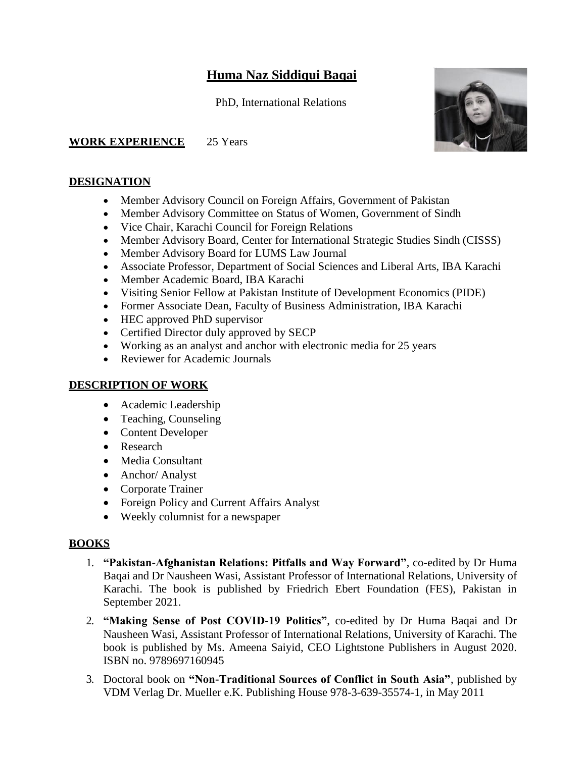# **Huma Naz Siddiqui Baqai**

PhD, International Relations

**WORK EXPERIENCE** 25 Years

#### **DESIGNATION**

- Member Advisory Council on Foreign Affairs, Government of Pakistan
- Member Advisory Committee on Status of Women, Government of Sindh
- Vice Chair, Karachi Council for Foreign Relations
- Member Advisory Board, Center for International Strategic Studies Sindh (CISSS)
- Member Advisory Board for LUMS Law Journal
- Associate Professor, Department of Social Sciences and Liberal Arts, IBA Karachi
- Member Academic Board, IBA Karachi
- Visiting Senior Fellow at Pakistan Institute of Development Economics (PIDE)
- Former Associate Dean, Faculty of Business Administration, IBA Karachi
- HEC approved PhD supervisor
- Certified Director duly approved by SECP
- Working as an analyst and anchor with electronic media for 25 years
- Reviewer for Academic Journals

#### **DESCRIPTION OF WORK**

- Academic Leadership
- Teaching, Counseling
- Content Developer
- Research
- Media Consultant
- Anchor/ Analyst
- Corporate Trainer
- Foreign Policy and Current Affairs Analyst
- Weekly columnist for a newspaper

### **BOOKS**

- 1. **"Pakistan-Afghanistan Relations: Pitfalls and Way Forward"**, co-edited by Dr Huma Baqai and Dr Nausheen Wasi, Assistant Professor of International Relations, University of Karachi. The book is published by Friedrich Ebert Foundation (FES), Pakistan in September 2021.
- 2. **"Making Sense of Post COVID-19 Politics"**, co-edited by Dr Huma Baqai and Dr Nausheen Wasi, Assistant Professor of International Relations, University of Karachi. The book is published by Ms. Ameena Saiyid, CEO Lightstone Publishers in August 2020. ISBN no. 9789697160945
- 3. Doctoral book on **"Non-Traditional Sources of Conflict in South Asia"**, published by VDM Verlag Dr. Mueller e.K. Publishing House 978-3-639-35574-1, in May 2011

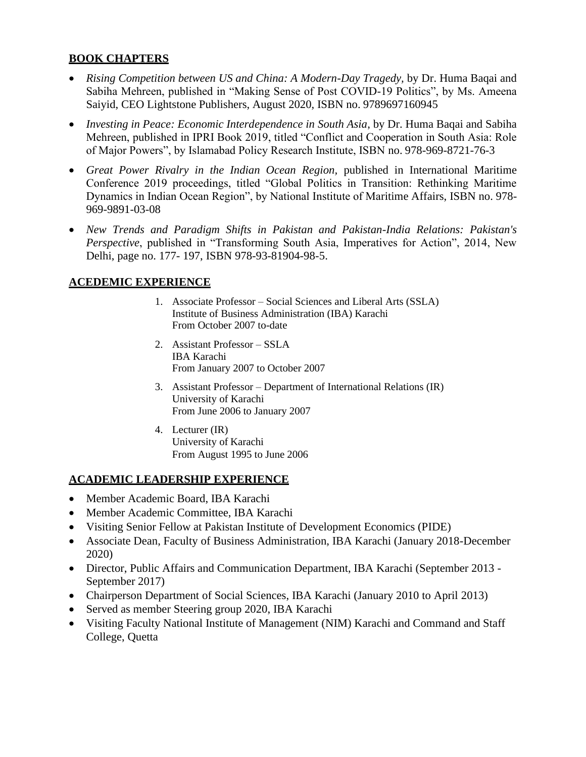# **BOOK CHAPTERS**

- *Rising Competition between US and China: A Modern-Day Tragedy, by Dr. Huma Baqai and* Sabiha Mehreen, published in "Making Sense of Post COVID-19 Politics", by Ms. Ameena Saiyid, CEO Lightstone Publishers, August 2020, ISBN no. 9789697160945
- *Investing in Peace: Economic Interdependence in South Asia*, by Dr. Huma Baqai and Sabiha Mehreen, published in IPRI Book 2019, titled "Conflict and Cooperation in South Asia: Role of Major Powers", by Islamabad Policy Research Institute, ISBN no. 978-969-8721-76-3
- *Great Power Rivalry in the Indian Ocean Region, published in International Maritime* Conference 2019 proceedings, titled "Global Politics in Transition: Rethinking Maritime Dynamics in Indian Ocean Region", by National Institute of Maritime Affairs, ISBN no. 978- 969-9891-03-08
- *New Trends and Paradigm Shifts in Pakistan and Pakistan-India Relations: Pakistan's Perspective*, published in "Transforming South Asia, Imperatives for Action", 2014, New Delhi, page no. 177- 197, ISBN 978-93-81904-98-5.

# **ACEDEMIC EXPERIENCE**

- 1. Associate Professor Social Sciences and Liberal Arts (SSLA) Institute of Business Administration (IBA) Karachi From October 2007 to-date
- 2. Assistant Professor SSLA IBA Karachi From January 2007 to October 2007
- 3. Assistant Professor Department of International Relations (IR) University of Karachi From June 2006 to January 2007
- 4. Lecturer (IR) University of Karachi From August 1995 to June 2006

# **ACADEMIC LEADERSHIP EXPERIENCE**

- Member Academic Board, IBA Karachi
- Member Academic Committee, IBA Karachi
- Visiting Senior Fellow at Pakistan Institute of Development Economics (PIDE)
- Associate Dean, Faculty of Business Administration, IBA Karachi (January 2018-December 2020)
- Director, Public Affairs and Communication Department, IBA Karachi (September 2013 September 2017)
- Chairperson Department of Social Sciences, IBA Karachi (January 2010 to April 2013)
- Served as member Steering group 2020, IBA Karachi
- Visiting Faculty National Institute of Management (NIM) Karachi and Command and Staff College, Quetta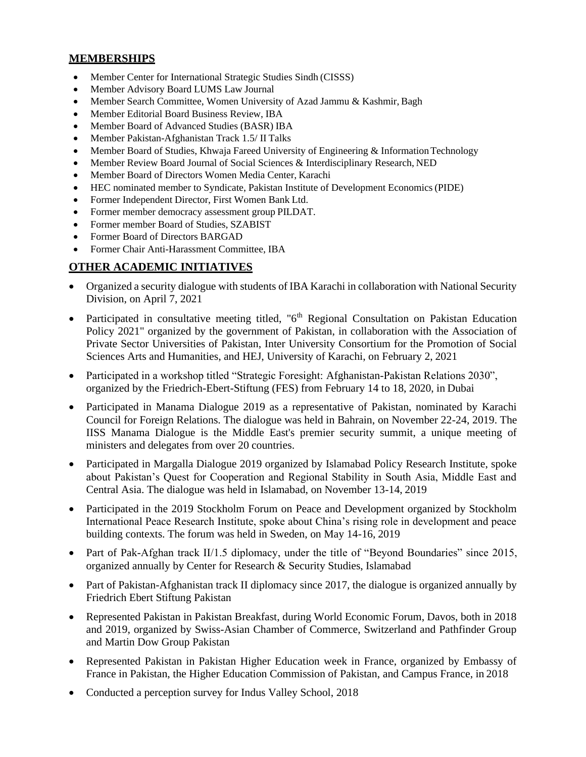#### **MEMBERSHIPS**

- Member Center for International Strategic Studies Sindh (CISSS)
- Member Advisory Board LUMS Law Journal
- Member Search Committee, Women University of Azad Jammu & Kashmir, Bagh
- Member Editorial Board Business Review, IBA
- Member Board of Advanced Studies (BASR) IBA
- Member Pakistan-Afghanistan Track 1.5/ II Talks
- Member Board of Studies, Khwaja Fareed University of Engineering & Information Technology
- Member Review Board Journal of Social Sciences & Interdisciplinary Research, NED
- Member Board of Directors Women Media Center, Karachi
- HEC nominated member to Syndicate, Pakistan Institute of Development Economics(PIDE)
- Former Independent Director, First Women Bank Ltd.
- Former member democracy assessment group PILDAT.
- Former member Board of Studies, SZABIST
- Former Board of Directors BARGAD
- Former Chair Anti-Harassment Committee, IBA

#### **OTHER ACADEMIC INITIATIVES**

- Organized a security dialogue with students of IBA Karachi in collaboration with National Security Division, on April 7, 2021
- Participated in consultative meeting titled, " $6<sup>th</sup>$  Regional Consultation on Pakistan Education Policy 2021" organized by the government of Pakistan, in collaboration with the Association of Private Sector Universities of Pakistan, Inter University Consortium for the Promotion of Social Sciences Arts and Humanities, and HEJ, University of Karachi, on February 2, 2021
- Participated in a workshop titled "Strategic Foresight: Afghanistan-Pakistan Relations 2030", organized by the Friedrich-Ebert-Stiftung (FES) from February 14 to 18, 2020, in Dubai
- Participated in Manama Dialogue 2019 as a representative of Pakistan, nominated by Karachi Council for Foreign Relations. The dialogue was held in Bahrain, on November 22-24, 2019. The IISS Manama Dialogue is the Middle East's premier security summit, a unique meeting of ministers and delegates from over 20 countries.
- Participated in Margalla Dialogue 2019 organized by Islamabad Policy Research Institute, spoke about Pakistan's Quest for Cooperation and Regional Stability in South Asia, Middle East and Central Asia. The dialogue was held in Islamabad, on November 13-14, 2019
- Participated in the 2019 Stockholm Forum on Peace and Development organized by Stockholm International Peace Research Institute, spoke about China's rising role in development and peace building contexts. The forum was held in Sweden, on May 14-16, 2019
- Part of Pak-Afghan track II/1.5 diplomacy, under the title of "Beyond Boundaries" since 2015, organized annually by Center for Research & Security Studies, Islamabad
- Part of Pakistan-Afghanistan track II diplomacy since 2017, the dialogue is organized annually by Friedrich Ebert Stiftung Pakistan
- Represented Pakistan in Pakistan Breakfast, during World Economic Forum, Davos, both in 2018 and 2019, organized by Swiss-Asian Chamber of Commerce, Switzerland and Pathfinder Group and Martin Dow Group Pakistan
- Represented Pakistan in Pakistan Higher Education week in France, organized by Embassy of France in Pakistan, the Higher Education Commission of Pakistan, and Campus France, in 2018
- Conducted a perception survey for Indus Valley School, 2018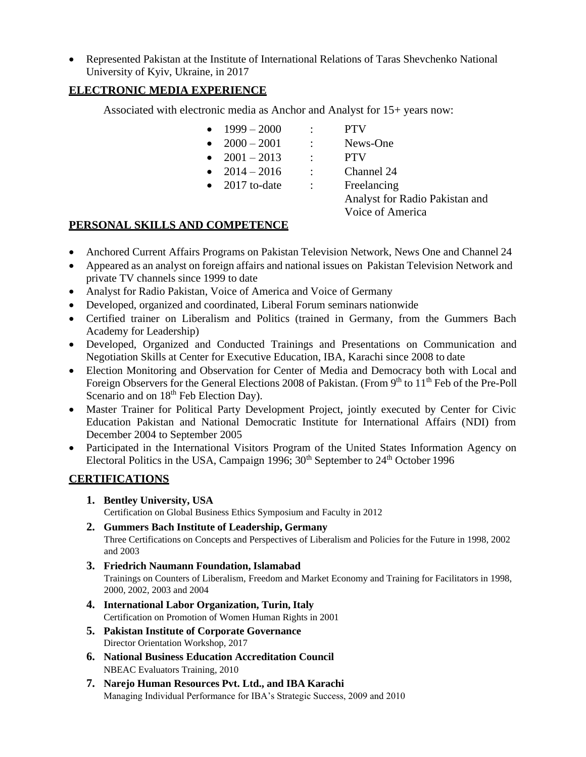• Represented Pakistan at the Institute of International Relations of Taras Shevchenko National University of Kyiv, Ukraine, in 2017

# **ELECTRONIC MEDIA EXPERIENCE**

Associated with electronic media as Anchor and Analyst for 15+ years now:

- $1999 2000$  : PTV
- $2000 2001$  : News-One
- $2001 2013$  : PTV
- $2014 2016$  : Channel 24
- 2017 to-date : Freelancing

Analyst for Radio Pakistan and Voice of America

### **PERSONAL SKILLS AND COMPETENCE**

- Anchored Current Affairs Programs on Pakistan Television Network, News One and Channel 24
- Appeared as an analyst on foreign affairs and national issues on Pakistan Television Network and private TV channels since 1999 to date
- Analyst for Radio Pakistan, Voice of America and Voice of Germany
- Developed, organized and coordinated, Liberal Forum seminars nationwide
- Certified trainer on Liberalism and Politics (trained in Germany, from the Gummers Bach Academy for Leadership)
- Developed, Organized and Conducted Trainings and Presentations on Communication and Negotiation Skills at Center for Executive Education, IBA, Karachi since 2008 to date
- Election Monitoring and Observation for Center of Media and Democracy both with Local and Foreign Observers for the General Elections 2008 of Pakistan. (From 9<sup>th</sup> to 11<sup>th</sup> Feb of the Pre-Poll Scenario and on 18<sup>th</sup> Feb Election Day).
- Master Trainer for Political Party Development Project, jointly executed by Center for Civic Education Pakistan and National Democratic Institute for International Affairs (NDI) from December 2004 to September 2005
- Participated in the International Visitors Program of the United States Information Agency on Electoral Politics in the USA, Campaign 1996;  $30<sup>th</sup>$  September to  $24<sup>th</sup>$  October 1996

### **CERTIFICATIONS**

**1. Bentley University, USA**

Certification on Global Business Ethics Symposium and Faculty in 2012

**2. Gummers Bach Institute of Leadership, Germany**

Three Certifications on Concepts and Perspectives of Liberalism and Policies for the Future in 1998, 2002 and 2003

- **3. Friedrich Naumann Foundation, Islamabad** Trainings on Counters of Liberalism, Freedom and Market Economy and Training for Facilitators in 1998, 2000, 2002, 2003 and 2004
- **4. International Labor Organization, Turin, Italy** Certification on Promotion of Women Human Rights in 2001
- **5. Pakistan Institute of Corporate Governance** Director Orientation Workshop, 2017
- **6. National Business Education Accreditation Council** NBEAC Evaluators Training, 2010
- **7. Narejo Human Resources Pvt. Ltd., and IBA Karachi** Managing Individual Performance for IBA's Strategic Success, 2009 and 2010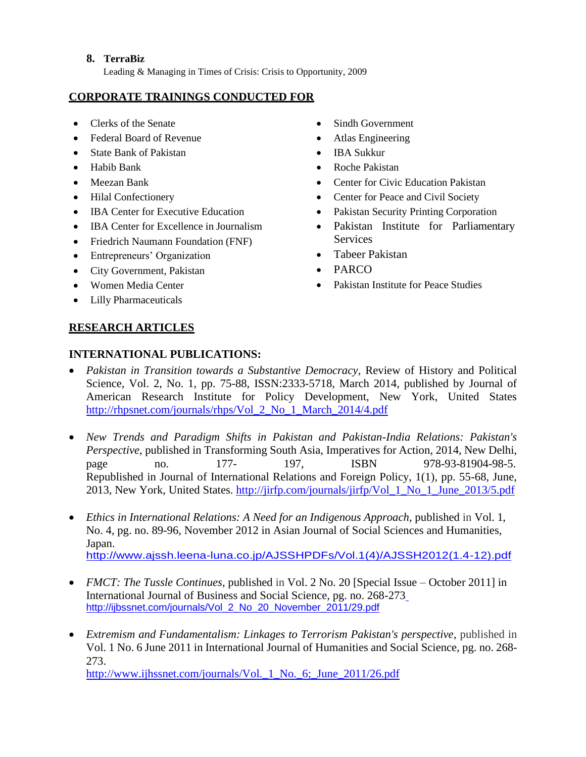#### **8. TerraBiz**

Leading & Managing in Times of Crisis: Crisis to Opportunity, 2009

#### **CORPORATE TRAININGS CONDUCTED FOR**

- Clerks of the Senate
- Federal Board of Revenue
- State Bank of Pakistan
- Habib Bank
- Meezan Bank
- [Hilal Confectionery](http://www.pakistanbusinessjournal.com/b2b-directory/hilal-confectionery-pvt-ltd_14777.html)
- **IBA Center for Executive Education**
- IBA Center for Excellence in Journalism
- Friedrich Naumann Foundation (FNF)
- Entrepreneurs' Organization
- City Government, Pakistan
- Women Media Center
- Lilly Pharmaceuticals
- Sindh Government
- Atlas Engineering
- IBA Sukkur
- Roche Pakistan
- Center for Civic Education Pakistan
- Center for Peace and Civil Society
- Pakistan Security Printing Corporation
- Pakistan Institute for Parliamentary **Services**
- Tabeer Pakistan
- PARCO
- Pakistan Institute for Peace Studies

# **RESEARCH ARTICLES**

# **INTERNATIONAL PUBLICATIONS:**

- *Pakistan in Transition towards a Substantive Democracy*, Review of History and Political Science, Vol. 2, No. 1, pp. 75-88, ISSN:2333-5718, March 2014, published by Journal of American Research Institute for Policy Development, New York, United States [http://rhpsnet.com/journals/rhps/Vol\\_2\\_No\\_1\\_March\\_2014/4.pdf](http://rhpsnet.com/journals/rhps/Vol_2_No_1_March_2014/4.pdf)
- *New Trends and Paradigm Shifts in Pakistan and Pakistan-India Relations: Pakistan's Perspective*, published in Transforming South Asia, Imperatives for Action, 2014, New Delhi, page no. 177- 197, ISBN 978-93-81904-98-5. Republished in Journal of International Relations and Foreign Policy, 1(1), pp. 55-68, June, 2013, New York, United States. [http://jirfp.com/journals/jirfp/Vol\\_1\\_No\\_1\\_June\\_2013/5.pdf](http://jirfp.com/journals/jirfp/Vol_1_No_1_June_2013/5.pdf)
- *Ethics in International Relations: A Need for an Indigenous Approach*, published in Vol. 1, No. 4, pg. no. 89-96, November 2012 in Asian Journal of Social Sciences and Humanities, Japan. [http://www.ajssh.leena-luna.co.jp/AJSSHPDFs/Vol.1\(4\)/AJSSH2012\(1.4-12\).pdf](http://www.ajssh.leena-luna.co.jp/AJSSHPDFs/Vol.1(4)/AJSSH2012(1.4-12).pdf)
- *FMCT: The Tussle Continues*, published in Vol. 2 No. 20 [Special Issue October 2011] in International Journal of Business and Social Science, pg. no. 268-273 [http://ijbssnet.com/journals/Vol\\_2\\_No\\_20\\_November\\_2011/29.pdf](http://ijbssnet.com/journals/Vol_2_No_20_November_2011/29.pdf)
- *Extremism and Fundamentalism: Linkages to Terrorism Pakistan's perspective*, published in Vol. 1 No. 6 June 2011 in International Journal of Humanities and Social Science, pg. no. 268- 273.

http://www.ijhssnet.com/journals/Vol. 1 No. 6; June 2011/26.pdf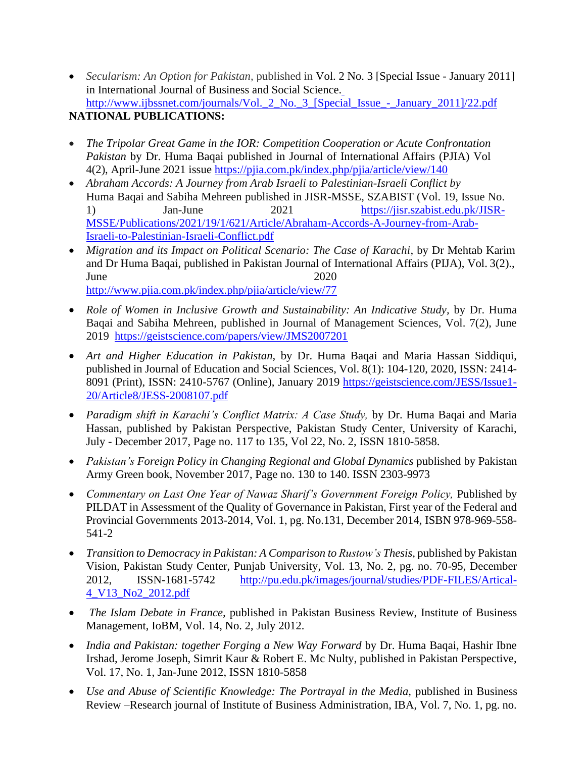- *Secularism: An Option for Pakistan,* published in Vol. 2 No. 3 [Special Issue January 2011] in International Journal of Business and Social Science. [http://www.ijbssnet.com/journals/Vol.\\_2\\_No.\\_3\\_\[Special\\_Issue\\_-\\_January\\_2011\]/22.pdf](http://www.ijbssnet.com/journals/Vol._2_No._3_%5bSpecial_Issue_-_January_2011%5d/22.pdf) **NATIONAL PUBLICATIONS:**
- *The Tripolar Great Game in the IOR: Competition Cooperation or Acute Confrontation Pakistan* by Dr. Huma Baqai published in Journal of International Affairs (PJIA) Vol 4(2), April-June 2021 issue <https://pjia.com.pk/index.php/pjia/article/view/140>
- *Abraham Accords: A Journey from Arab Israeli to Palestinian-Israeli Conflict by* Huma Baqai and Sabiha Mehreen published in JISR-MSSE, SZABIST (Vol. 19, Issue No. 1) Jan-June 2021 [https://jisr.szabist.edu.pk/JISR-](https://jisr.szabist.edu.pk/JISR-MSSE/Publications/2021/19/1/621/Article/Abraham-Accords-A-Journey-from-Arab-Israeli-to-Palestinian-Israeli-Conflict.pdf)[MSSE/Publications/2021/19/1/621/Article/Abraham-Accords-A-Journey-from-Arab-](https://jisr.szabist.edu.pk/JISR-MSSE/Publications/2021/19/1/621/Article/Abraham-Accords-A-Journey-from-Arab-Israeli-to-Palestinian-Israeli-Conflict.pdf)[Israeli-to-Palestinian-Israeli-Conflict.pdf](https://jisr.szabist.edu.pk/JISR-MSSE/Publications/2021/19/1/621/Article/Abraham-Accords-A-Journey-from-Arab-Israeli-to-Palestinian-Israeli-Conflict.pdf)
- *Migration and its Impact on Political Scenario: The Case of Karachi*, by Dr Mehtab Karim and Dr Huma Baqai, published in Pakistan Journal of International Affairs (PIJA), Vol. 3(2)., June 2020 <http://www.pjia.com.pk/index.php/pjia/article/view/77>
- *Role of Women in Inclusive Growth and Sustainability: An Indicative Study, by Dr. Huma* Baqai and Sabiha Mehreen, published in Journal of Management Sciences, Vol. 7(2), June 2019 <https://geistscience.com/papers/view/JMS2007201>
- *Art and Higher Education in Pakistan,* by Dr. Huma Baqai and Maria Hassan Siddiqui, published in Journal of Education and Social Sciences, Vol. 8(1): 104-120, 2020, ISSN: 2414- 8091 (Print), ISSN: 2410-5767 (Online), January 2019 [https://geistscience.com/JESS/Issue1-](https://geistscience.com/JESS/Issue1-20/Article8/JESS-2008107.pdf) [20/Article8/JESS-2008107.pdf](https://geistscience.com/JESS/Issue1-20/Article8/JESS-2008107.pdf)
- *Paradigm shift in Karachi's Conflict Matrix: A Case Study,* by Dr. Huma Baqai and Maria Hassan, published by Pakistan Perspective, Pakistan Study Center, University of Karachi, July - December 2017, Page no. 117 to 135, Vol 22, No. 2, ISSN 1810-5858.
- *Pakistan's Foreign Policy in Changing Regional and Global Dynamics* published by Pakistan Army Green book, November 2017, Page no. 130 to 140. ISSN 2303-9973
- *Commentary on Last One Year of Nawaz Sharif's Government Foreign Policy*, Published by PILDAT in Assessment of the Quality of Governance in Pakistan, First year of the Federal and Provincial Governments 2013-2014, Vol. 1, pg. No.131, December 2014, ISBN 978-969-558- 541-2
- *Transition to Democracy in Pakistan: A Comparison to Rustow's Thesis,* published by Pakistan Vision, Pakistan Study Center, Punjab University, Vol. 13, No. 2, pg. no. 70-95, December 2012, ISSN-1681-5742 [http://pu.edu.pk/images/journal/studies/PDF-FILES/Artical-](http://pu.edu.pk/images/journal/studies/PDF-FILES/Artical-4_V13_No2_2012.pdf)[4\\_V13\\_No2\\_2012.pdf](http://pu.edu.pk/images/journal/studies/PDF-FILES/Artical-4_V13_No2_2012.pdf)
- *The Islam Debate in France,* published in Pakistan Business Review, Institute of Business Management, IoBM, Vol. 14, No. 2, July 2012.
- *India and Pakistan: together Forging a New Way Forward* by Dr. Huma Baqai, Hashir Ibne Irshad, Jerome Joseph, Simrit Kaur & Robert E. Mc Nulty, published in Pakistan Perspective, Vol. 17, No. 1, Jan-June 2012, ISSN 1810-5858
- *Use and Abuse of Scientific Knowledge: The Portrayal in the Media, published in Business* Review –Research journal of Institute of Business Administration, IBA, Vol. 7, No. 1, pg. no.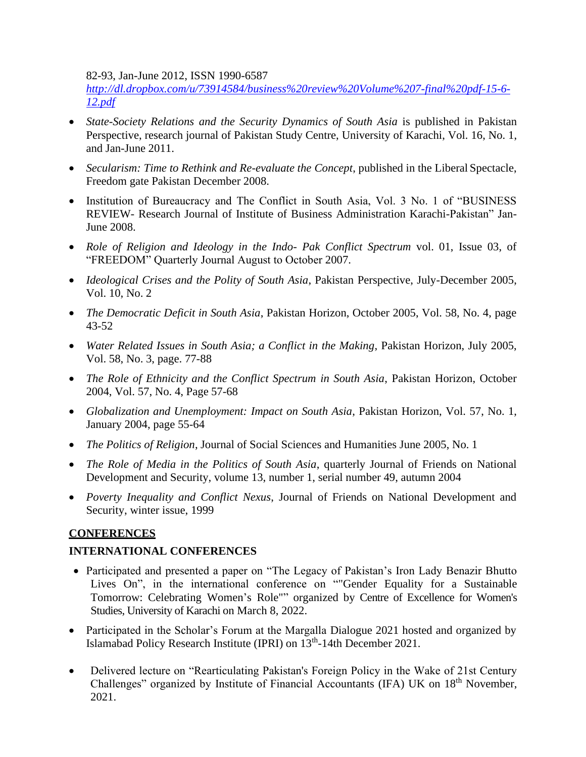82-93, Jan-June 2012, ISSN 1990-6587

*[http://dl.dropbox.com/u/73914584/business%20review%20Volume%207-final%20pdf-15-6-](http://dl.dropbox.com/u/73914584/business%20review%20Volume%207-final%20pdf-15-6-12.pdf) [12.pdf](http://dl.dropbox.com/u/73914584/business%20review%20Volume%207-final%20pdf-15-6-12.pdf)*

- *State-Society Relations and the Security Dynamics of South Asia* is published in Pakistan Perspective, research journal of Pakistan Study Centre, University of Karachi, Vol. 16, No. 1, and Jan-June 2011.
- *Secularism: Time to Rethink and Re-evaluate the Concept*, published in the Liberal Spectacle, Freedom gate Pakistan December 2008.
- Institution of Bureaucracy and The Conflict in South Asia, Vol. 3 No. 1 of "BUSINESS" REVIEW- Research Journal of Institute of Business Administration Karachi-Pakistan" Jan-June 2008.
- *Role of Religion and Ideology in the Indo- Pak Conflict Spectrum* vol. 01, Issue 03, of "FREEDOM" Quarterly Journal August to October 2007.
- *Ideological Crises and the Polity of South Asia*, Pakistan Perspective, July-December 2005, Vol. 10, No. 2
- *The Democratic Deficit in South Asia*, Pakistan Horizon, October 2005, Vol. 58, No. 4, page 43-52
- *Water Related Issues in South Asia; a Conflict in the Making*, Pakistan Horizon, July 2005, Vol. 58, No. 3, page. 77-88
- *The Role of Ethnicity and the Conflict Spectrum in South Asia*, Pakistan Horizon, October 2004, Vol. 57, No. 4, Page 57-68
- *Globalization and Unemployment: Impact on South Asia*, Pakistan Horizon, Vol. 57, No. 1, January 2004, page 55-64
- *The Politics of Religion*, Journal of Social Sciences and Humanities June 2005, No. 1
- *The Role of Media in the Politics of South Asia*, quarterly Journal of Friends on National Development and Security, volume 13, number 1, serial number 49, autumn 2004
- *Poverty Inequality and Conflict Nexus*, Journal of Friends on National Development and Security, winter issue, 1999

### **CONFERENCES**

### **INTERNATIONAL CONFERENCES**

- Participated and presented a paper on "The Legacy of Pakistan's Iron Lady Benazir Bhutto Lives On", in the international conference on ""Gender Equality for a Sustainable Tomorrow: Celebrating Women's Role"" organized by Centre of Excellence for Women's Studies, University of Karachi on March 8, 2022.
- Participated in the Scholar's Forum at the Margalla Dialogue 2021 hosted and organized by Islamabad Policy Research Institute (IPRI) on 13<sup>th</sup>-14th December 2021.
- Delivered lecture on "Rearticulating Pakistan's Foreign Policy in the Wake of 21st Century Challenges" organized by Institute of Financial Accountants (IFA) UK on 18<sup>th</sup> November, 2021.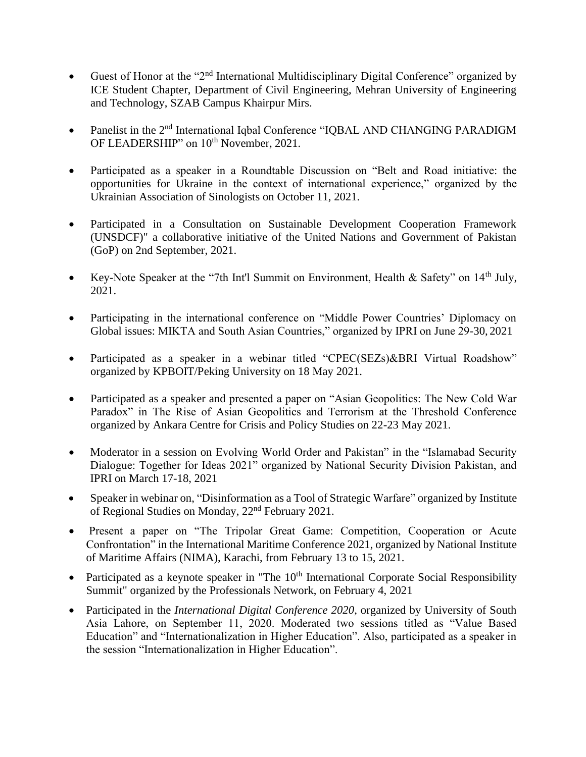- Guest of Honor at the "2<sup>nd</sup> International Multidisciplinary Digital Conference" organized by ICE Student Chapter, Department of Civil Engineering, Mehran University of Engineering and Technology, SZAB Campus Khairpur Mirs.
- Panelist in the 2<sup>nd</sup> International Iqbal Conference "IQBAL AND CHANGING PARADIGM OF LEADERSHIP" on 10<sup>th</sup> November, 2021.
- Participated as a speaker in a Roundtable Discussion on "Belt and Road initiative: the opportunities for Ukraine in the context of international experience," organized by the Ukrainian Association of Sinologists on October 11, 2021.
- Participated in a Consultation on Sustainable Development Cooperation Framework (UNSDCF)" a collaborative initiative of the United Nations and Government of Pakistan (GoP) on 2nd September, 2021.
- Key-Note Speaker at the "7th Int'l Summit on Environment, Health & Safety" on 14<sup>th</sup> July, 2021.
- Participating in the international conference on "Middle Power Countries' Diplomacy on Global issues: MIKTA and South Asian Countries," organized by IPRI on June 29-30, 2021
- Participated as a speaker in a webinar titled "CPEC(SEZs)&BRI Virtual Roadshow" organized by KPBOIT/Peking University on 18 May 2021.
- Participated as a speaker and presented a paper on "Asian Geopolitics: The New Cold War Paradox" in The Rise of Asian Geopolitics and Terrorism at the Threshold Conference organized by Ankara Centre for Crisis and Policy Studies on 22-23 May 2021.
- Moderator in a session on Evolving World Order and Pakistan" in the "Islamabad Security Dialogue: Together for Ideas 2021" organized by National Security Division Pakistan, and IPRI on March 17-18, 2021
- Speaker in webinar on, "Disinformation as a Tool of Strategic Warfare" organized by Institute of Regional Studies on Monday, 22nd February 2021.
- Present a paper on "The Tripolar Great Game: Competition, Cooperation or Acute Confrontation" in the International Maritime Conference 2021, organized by National Institute of Maritime Affairs (NIMA), Karachi, from February 13 to 15, 2021.
- Participated as a keynote speaker in "The 10<sup>th</sup> International Corporate Social Responsibility Summit" organized by the Professionals Network, on February 4, 2021
- Participated in the *International Digital Conference 2020*, organized by University of South Asia Lahore, on September 11, 2020. Moderated two sessions titled as "Value Based Education" and "Internationalization in Higher Education". Also, participated as a speaker in the session "Internationalization in Higher Education".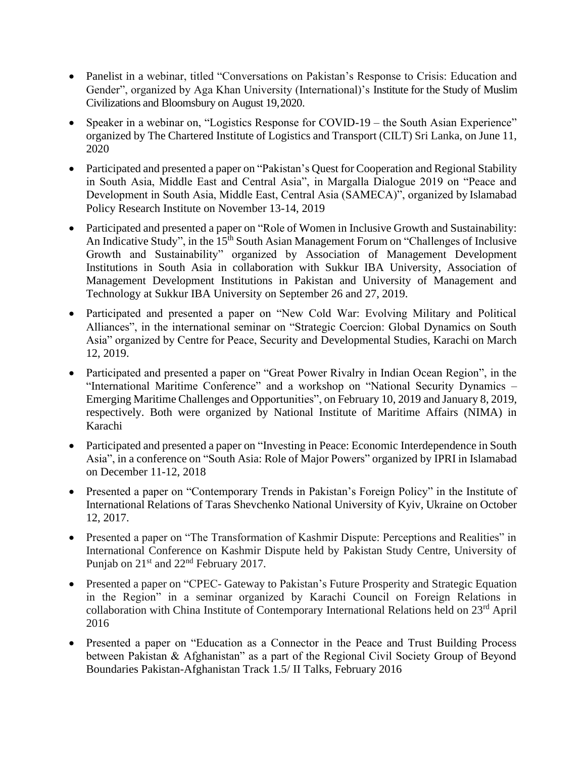- Panelist in a webinar, titled "Conversations on Pakistan's Response to Crisis: Education and Gender", organized by Aga Khan University (International)'s Institute for the Study of Muslim Civilizations and Bloomsbury on August 19,2020.
- Speaker in a webinar on, "Logistics Response for COVID-19 the South Asian Experience" organized by The Chartered Institute of Logistics and Transport (CILT) Sri Lanka, on June 11, 2020
- Participated and presented a paper on "Pakistan's Quest for Cooperation and Regional Stability in South Asia, Middle East and Central Asia", in Margalla Dialogue 2019 on "Peace and Development in South Asia, Middle East, Central Asia (SAMECA)", organized by Islamabad Policy Research Institute on November 13-14, 2019
- Participated and presented a paper on "Role of Women in Inclusive Growth and Sustainability: An Indicative Study", in the 15<sup>th</sup> South Asian Management Forum on "Challenges of Inclusive Growth and Sustainability" organized by Association of Management Development Institutions in South Asia in collaboration with Sukkur IBA University, Association of Management Development Institutions in Pakistan and University of Management and Technology at Sukkur IBA University on September 26 and 27, 2019.
- Participated and presented a paper on "New Cold War: Evolving Military and Political Alliances", in the international seminar on "Strategic Coercion: Global Dynamics on South Asia" organized by Centre for Peace, Security and Developmental Studies, Karachi on March 12, 2019.
- Participated and presented a paper on "Great Power Rivalry in Indian Ocean Region", in the "International Maritime Conference" and a workshop on "National Security Dynamics – Emerging Maritime Challenges and Opportunities", on February 10, 2019 and January 8, 2019, respectively. Both were organized by National Institute of Maritime Affairs (NIMA) in Karachi
- Participated and presented a paper on "Investing in Peace: Economic Interdependence in South Asia", in a conference on "South Asia: Role of Major Powers" organized by IPRI in Islamabad on December 11-12, 2018
- Presented a paper on "Contemporary Trends in Pakistan's Foreign Policy" in the Institute of International Relations of Taras Shevchenko National University of Kyiv, Ukraine on October 12, 2017.
- Presented a paper on "The Transformation of Kashmir Dispute: Perceptions and Realities" in International Conference on Kashmir Dispute held by Pakistan Study Centre, University of Punjab on  $21<sup>st</sup>$  and  $22<sup>nd</sup>$  February 2017.
- Presented a paper on "CPEC- Gateway to Pakistan's Future Prosperity and Strategic Equation in the Region" in a seminar organized by Karachi Council on Foreign Relations in collaboration with China Institute of Contemporary International Relations held on 23<sup>rd</sup> April 2016
- Presented a paper on "Education as a Connector in the Peace and Trust Building Process between Pakistan & Afghanistan" as a part of the Regional Civil Society Group of Beyond Boundaries Pakistan-Afghanistan Track 1.5/ II Talks, February 2016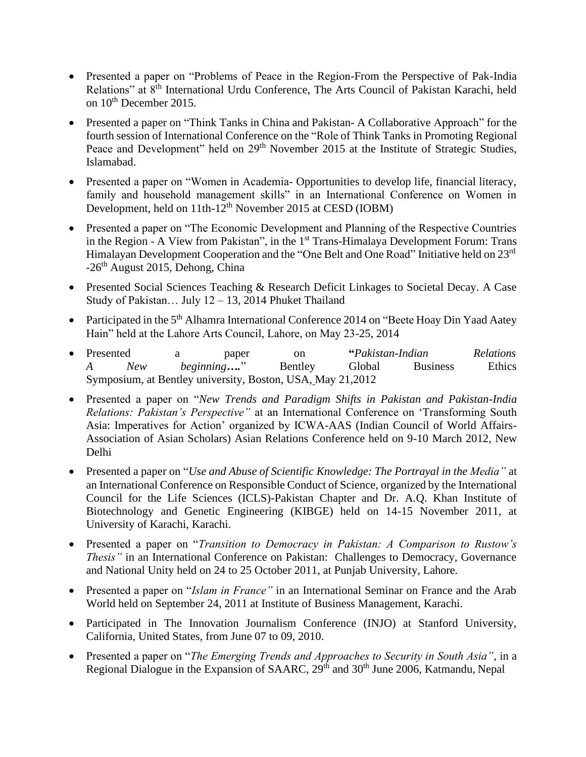- Presented a paper on "Problems of Peace in the Region-From the Perspective of Pak-India Relations" at 8<sup>th</sup> International Urdu Conference, The Arts Council of Pakistan Karachi, held on  $10^{th}$  December 2015.
- Presented a paper on "Think Tanks in China and Pakistan- A Collaborative Approach" for the fourth session of International Conference on the "Role of Think Tanks in Promoting Regional Peace and Development" held on 29<sup>th</sup> November 2015 at the Institute of Strategic Studies, Islamabad.
- Presented a paper on "Women in Academia- Opportunities to develop life, financial literacy, family and household management skills" in an International Conference on Women in Development, held on 11th-12<sup>th</sup> November 2015 at CESD (IOBM)
- Presented a paper on "The Economic Development and Planning of the Respective Countries in the Region - A View from Pakistan", in the 1<sup>st</sup> Trans-Himalaya Development Forum: Trans Himalayan Development Cooperation and the "One Belt and One Road" Initiative held on 23<sup>rd</sup> -26<sup>th</sup> August 2015, Dehong, China
- Presented Social Sciences Teaching & Research Deficit Linkages to Societal Decay. A Case Study of Pakistan… July 12 – 13, 2014 Phuket Thailand
- Participated in the 5<sup>th</sup> Alhamra International Conference 2014 on "Beete Hoay Din Yaad Aatey Hain" held at the Lahore Arts Council, Lahore, on May 23-25, 2014
- Presented a paper on **"***Pakistan-Indian Relations A New beginning….*" Bentley Global Business Ethics Symposium, at Bentley university, Boston, USA, May 21,2012
- Presented a paper on "*New Trends and Paradigm Shifts in Pakistan and Pakistan-India Relations: Pakistan's Perspective"* at an International Conference on 'Transforming South Asia: Imperatives for Action' organized by ICWA-AAS (Indian Council of World Affairs-Association of Asian Scholars) Asian Relations Conference held on 9-10 March 2012, New Delhi
- Presented a paper on "*Use and Abuse of Scientific Knowledge: The Portrayal in the Media"* at an International Conference on Responsible Conduct of Science, organized by the International Council for the Life Sciences (ICLS)-Pakistan Chapter and Dr. A.Q. Khan Institute of Biotechnology and Genetic Engineering (KIBGE) held on 14-15 November 2011, at University of Karachi, Karachi.
- Presented a paper on "*Transition to Democracy in Pakistan: A Comparison to Rustow's Thesis"* in an International Conference on Pakistan: Challenges to Democracy, Governance and National Unity held on 24 to 25 October 2011, at Punjab University, Lahore.
- Presented a paper on "*Islam in France"* in an International Seminar on France and the Arab World held on September 24, 2011 at Institute of Business Management, Karachi.
- Participated in The Innovation Journalism Conference (INJO) at Stanford University, California, United States, from June 07 to 09, 2010.
- Presented a paper on "*The Emerging Trends and Approaches to Security in South Asia"*, in a Regional Dialogue in the Expansion of SAARC, 29<sup>th</sup> and 30<sup>th</sup> June 2006, Katmandu, Nepal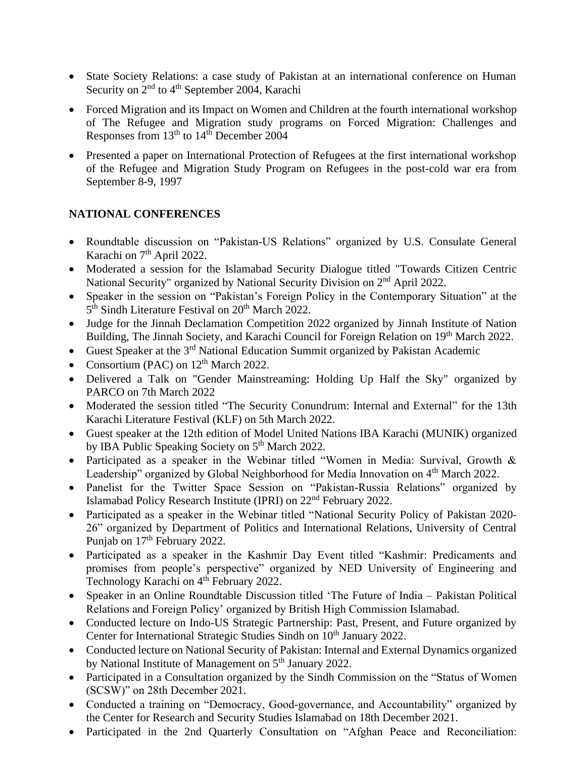- State Society Relations: a case study of Pakistan at an international conference on Human Security on  $2<sup>nd</sup>$  to  $4<sup>th</sup>$  September 2004, Karachi
- Forced Migration and its Impact on Women and Children at the fourth international workshop of The Refugee and Migration study programs on Forced Migration: Challenges and Responses from  $13<sup>th</sup>$  to  $14<sup>th</sup>$  December 2004
- Presented a paper on International Protection of Refugees at the first international workshop of the Refugee and Migration Study Program on Refugees in the post-cold war era from September 8-9, 1997

# **NATIONAL CONFERENCES**

- Roundtable discussion on "Pakistan-US Relations" organized by U.S. Consulate General Karachi on  $7<sup>th</sup>$  April 2022.
- Moderated a session for the Islamabad Security Dialogue titled "Towards Citizen Centric National Security" organized by National Security Division on 2nd April 2022.
- Speaker in the session on "Pakistan's Foreign Policy in the Contemporary Situation" at the 5<sup>th</sup> Sindh Literature Festival on 20<sup>th</sup> March 2022.
- Judge for the Jinnah Declamation Competition 2022 organized by Jinnah Institute of Nation Building, The Jinnah Society, and Karachi Council for Foreign Relation on 19<sup>th</sup> March 2022.
- Guest Speaker at the 3<sup>rd</sup> National Education Summit organized by Pakistan Academic
- Consortium (PAC) on  $12<sup>th</sup>$  March 2022.
- Delivered a Talk on "Gender Mainstreaming: Holding Up Half the Sky" organized by PARCO on 7th March 2022
- Moderated the session titled "The Security Conundrum: Internal and External" for the 13th Karachi Literature Festival (KLF) on 5th March 2022.
- Guest speaker at the 12th edition of Model United Nations IBA Karachi (MUNIK) organized by IBA Public Speaking Society on 5<sup>th</sup> March 2022.
- Participated as a speaker in the Webinar titled "Women in Media: Survival, Growth & Leadership" organized by Global Neighborhood for Media Innovation on 4<sup>th</sup> March 2022.
- Panelist for the Twitter Space Session on "Pakistan-Russia Relations" organized by Islamabad Policy Research Institute (IPRI) on 22nd February 2022.
- Participated as a speaker in the Webinar titled "National Security Policy of Pakistan 2020- 26" organized by Department of Politics and International Relations, University of Central Punjab on 17<sup>th</sup> February 2022.
- Participated as a speaker in the Kashmir Day Event titled "Kashmir: Predicaments and promises from people's perspective" organized by NED University of Engineering and Technology Karachi on 4<sup>th</sup> February 2022.
- Speaker in an Online Roundtable Discussion titled 'The Future of India Pakistan Political Relations and Foreign Policy' organized by British High Commission Islamabad.
- Conducted lecture on Indo-US Strategic Partnership: Past, Present, and Future organized by Center for International Strategic Studies Sindh on  $10<sup>th</sup>$  January 2022.
- Conducted lecture on National Security of Pakistan: Internal and External Dynamics organized by National Institute of Management on 5<sup>th</sup> January 2022.
- Participated in a Consultation organized by the Sindh Commission on the "Status of Women (SCSW)" on 28th December 2021.
- Conducted a training on "Democracy, Good-governance, and Accountability" organized by the Center for Research and Security Studies Islamabad on 18th December 2021.
- Participated in the 2nd Quarterly Consultation on "Afghan Peace and Reconciliation: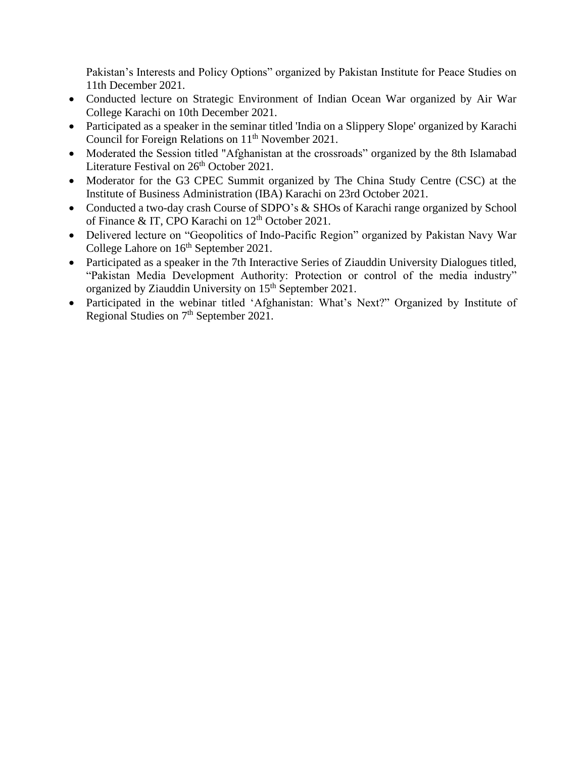Pakistan's Interests and Policy Options" organized by Pakistan Institute for Peace Studies on 11th December 2021.

- Conducted lecture on Strategic Environment of Indian Ocean War organized by Air War College Karachi on 10th December 2021.
- Participated as a speaker in the seminar titled 'India on a Slippery Slope' organized by Karachi Council for Foreign Relations on  $11<sup>th</sup>$  November 2021.
- Moderated the Session titled "Afghanistan at the crossroads" organized by the 8th Islamabad Literature Festival on 26<sup>th</sup> October 2021.
- Moderator for the G3 CPEC Summit organized by The China Study Centre (CSC) at the Institute of Business Administration (IBA) Karachi on 23rd October 2021.
- Conducted a two-day crash Course of SDPO's & SHOs of Karachi range organized by School of Finance & IT, CPO Karachi on 12<sup>th</sup> October 2021.
- Delivered lecture on "Geopolitics of Indo-Pacific Region" organized by Pakistan Navy War College Lahore on  $16<sup>th</sup>$  September 2021.
- Participated as a speaker in the 7th Interactive Series of Ziauddin University Dialogues titled, "Pakistan Media Development Authority: Protection or control of the media industry" organized by Ziauddin University on 15<sup>th</sup> September 2021.
- Participated in the webinar titled 'Afghanistan: What's Next?" Organized by Institute of Regional Studies on  $7<sup>th</sup>$  September 2021.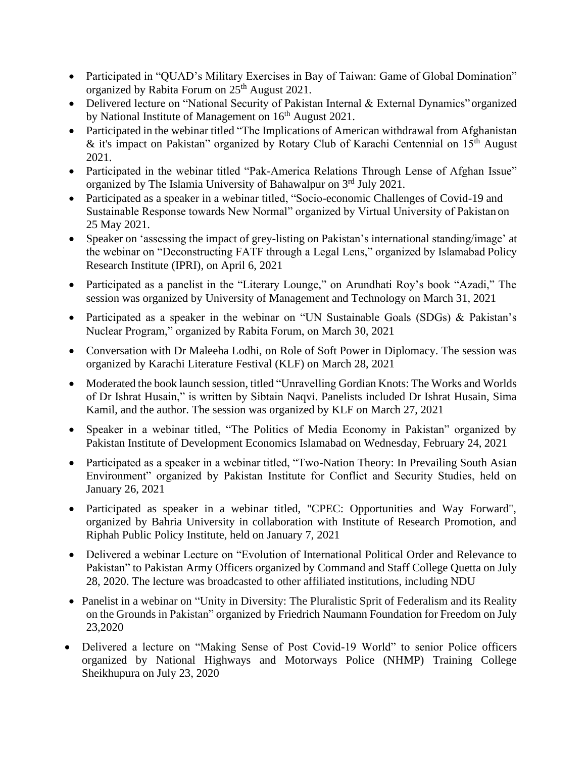- Participated in "QUAD's Military Exercises in Bay of Taiwan: Game of Global Domination" organized by Rabita Forum on 25<sup>th</sup> August 2021.
- Delivered lecture on "National Security of Pakistan Internal & External Dynamics" organized by National Institute of Management on 16<sup>th</sup> August 2021.
- Participated in the webinar titled "The Implications of American withdrawal from Afghanistan & it's impact on Pakistan" organized by Rotary Club of Karachi Centennial on  $15<sup>th</sup>$  August 2021.
- Participated in the webinar titled "Pak-America Relations Through Lense of Afghan Issue" organized by The Islamia University of Bahawalpur on 3rd July 2021.
- Participated as a speaker in a webinar titled, "Socio-economic Challenges of Covid-19 and Sustainable Response towards New Normal" organized by Virtual University of Pakistan on 25 May 2021.
- Speaker on 'assessing the impact of grey-listing on Pakistan's international standing/image' at the webinar on "Deconstructing FATF through a Legal Lens," organized by Islamabad Policy Research Institute (IPRI), on April 6, 2021
- Participated as a panelist in the "Literary Lounge," on Arundhati Roy's book "Azadi," The session was organized by University of Management and Technology on March 31, 2021
- Participated as a speaker in the webinar on "UN Sustainable Goals (SDGs) & Pakistan's Nuclear Program," organized by Rabita Forum, on March 30, 2021
- Conversation with Dr Maleeha Lodhi, on Role of Soft Power in Diplomacy. The session was organized by Karachi Literature Festival (KLF) on March 28, 2021
- Moderated the book launch session, titled "Unravelling Gordian Knots: The Works and Worlds of Dr Ishrat Husain," is written by Sibtain Naqvi. Panelists included Dr Ishrat Husain, Sima Kamil, and the author. The session was organized by KLF on March 27, 2021
- Speaker in a webinar titled, "The Politics of Media Economy in Pakistan" organized by Pakistan Institute of Development Economics Islamabad on Wednesday, February 24, 2021
- Participated as a speaker in a webinar titled, "Two-Nation Theory: In Prevailing South Asian Environment" organized by Pakistan Institute for Conflict and Security Studies, held on January 26, 2021
- Participated as speaker in a webinar titled, "CPEC: Opportunities and Way Forward", organized by Bahria University in collaboration with Institute of Research Promotion, and Riphah Public Policy Institute, held on January 7, 2021
- Delivered a webinar Lecture on "Evolution of International Political Order and Relevance to Pakistan" to Pakistan Army Officers organized by Command and Staff College Quetta on July 28, 2020. The lecture was broadcasted to other affiliated institutions, including NDU
- Panelist in a webinar on "Unity in Diversity: The Pluralistic Sprit of Federalism and its Reality on the Grounds in Pakistan" organized by Friedrich Naumann Foundation for Freedom on July 23,2020
- Delivered a lecture on "Making Sense of Post Covid-19 World" to senior Police officers organized by National Highways and Motorways Police (NHMP) Training College Sheikhupura on July 23, 2020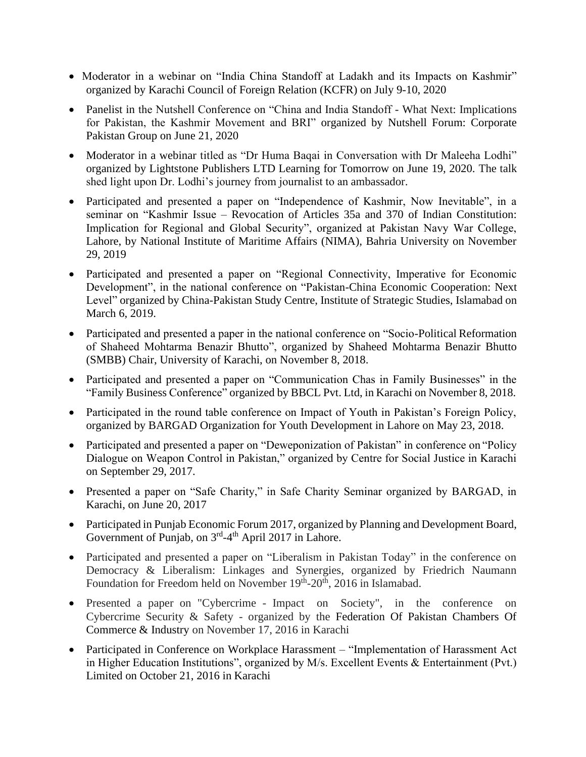- Moderator in a webinar on "India China Standoff at Ladakh and its Impacts on Kashmir" organized by Karachi Council of Foreign Relation (KCFR) on July 9-10, 2020
- Panelist in the Nutshell Conference on "China and India Standoff What Next: Implications for Pakistan, the Kashmir Movement and BRI" organized by Nutshell Forum: Corporate Pakistan Group on June 21, 2020
- Moderator in a webinar titled as "Dr Huma Baqai in Conversation with Dr Maleeha Lodhi" organized by Lightstone Publishers LTD Learning for Tomorrow on June 19, 2020. The talk shed light upon Dr. Lodhi's journey from journalist to an ambassador.
- Participated and presented a paper on "Independence of Kashmir, Now Inevitable", in a seminar on "Kashmir Issue – Revocation of Articles 35a and 370 of Indian Constitution: Implication for Regional and Global Security", organized at Pakistan Navy War College, Lahore, by National Institute of Maritime Affairs (NIMA), Bahria University on November 29, 2019
- Participated and presented a paper on "Regional Connectivity, Imperative for Economic Development", in the national conference on "Pakistan-China Economic Cooperation: Next Level" organized by China-Pakistan Study Centre, Institute of Strategic Studies, Islamabad on March 6, 2019.
- Participated and presented a paper in the national conference on "Socio-Political Reformation of Shaheed Mohtarma Benazir Bhutto", organized by Shaheed Mohtarma Benazir Bhutto (SMBB) Chair, University of Karachi, on November 8, 2018.
- Participated and presented a paper on "Communication Chas in Family Businesses" in the "Family Business Conference" organized by BBCL Pvt. Ltd, in Karachi on November 8, 2018.
- Participated in the round table conference on Impact of Youth in Pakistan's Foreign Policy, organized by BARGAD Organization for Youth Development in Lahore on May 23, 2018.
- Participated and presented a paper on "Deweponization of Pakistan" in conference on "Policy" Dialogue on Weapon Control in Pakistan," organized by Centre for Social Justice in Karachi on September 29, 2017.
- Presented a paper on "Safe Charity," in Safe Charity Seminar organized by BARGAD, in Karachi, on June 20, 2017
- Participated in Punjab Economic Forum 2017, organized by Planning and Development Board, Government of Punjab, on 3<sup>rd</sup>-4<sup>th</sup> April 2017 in Lahore.
- Participated and presented a paper on "Liberalism in Pakistan Today" in the conference on Democracy & Liberalism: Linkages and Synergies, organized by Friedrich Naumann Foundation for Freedom held on November 19<sup>th</sup>-20<sup>th</sup>, 2016 in Islamabad.
- Presented a paper on "Cybercrime Impact on Society", in the conference on Cybercrime Security & Safety - organized by the [Federation Of Pakistan Chambers Of](http://fpcci.org.pk/) [Commerce &](http://fpcci.org.pk/) Industry on November 17, 2016 in Karachi
- Participated in Conference on Workplace Harassment "Implementation of Harassment Act in Higher Education Institutions", organized by M/s. Excellent Events & Entertainment (Pvt.) Limited on October 21, 2016 in Karachi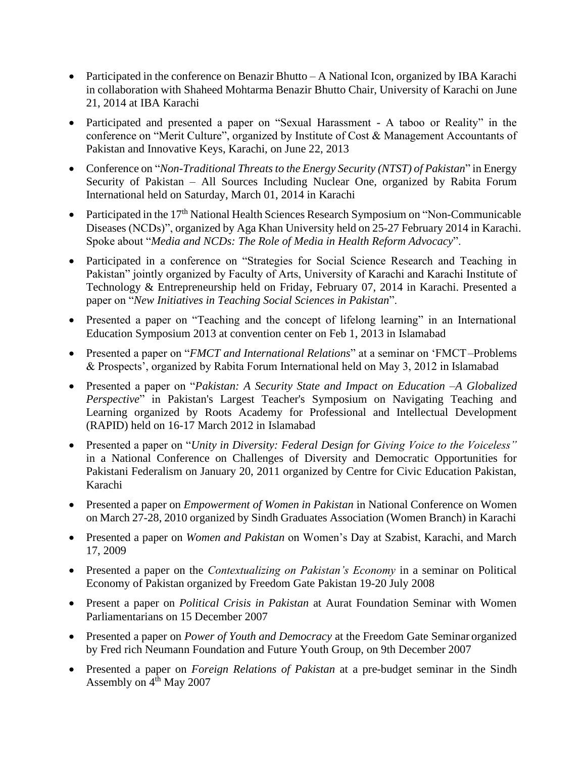- Participated in the conference on Benazir Bhutto A National Icon, organized by IBA Karachi in collaboration with Shaheed Mohtarma Benazir Bhutto Chair, University of Karachi on June 21, 2014 at IBA Karachi
- Participated and presented a paper on "Sexual Harassment A taboo or Reality" in the conference on "Merit Culture", organized by Institute of Cost & Management Accountants of Pakistan and Innovative Keys, Karachi, on June 22, 2013
- Conference on "*Non-Traditional Threats to the Energy Security (NTST) of Pakistan*" in Energy Security of Pakistan – All Sources Including Nuclear One, organized by Rabita Forum International held on Saturday, March 01, 2014 in Karachi
- Participated in the 17<sup>th</sup> National Health Sciences Research Symposium on "Non-Communicable Diseases (NCDs)", organized by Aga Khan University held on 25-27 February 2014 in Karachi. Spoke about "*Media and NCDs: The Role of Media in Health Reform Advocacy*".
- Participated in a conference on "Strategies for Social Science Research and Teaching in Pakistan" jointly organized by Faculty of Arts, University of Karachi and Karachi Institute of Technology & Entrepreneurship held on Friday, February 07, 2014 in Karachi. Presented a paper on "*New Initiatives in Teaching Social Sciences in Pakistan*".
- Presented a paper on "Teaching and the concept of lifelong learning" in an International Education Symposium 2013 at convention center on Feb 1, 2013 in Islamabad
- Presented a paper on "*FMCT and International Relations*" at a seminar on 'FMCT–Problems & Prospects', organized by Rabita Forum International held on May 3, 2012 in Islamabad
- Presented a paper on "*Pakistan: A Security State and Impact on Education –A Globalized Perspective*" in Pakistan's Largest Teacher's Symposium on Navigating Teaching and Learning organized by Roots Academy for Professional and Intellectual Development (RAPID) held on 16-17 March 2012 in Islamabad
- Presented a paper on "*Unity in Diversity: Federal Design for Giving Voice to the Voiceless"*  in a National Conference on Challenges of Diversity and Democratic Opportunities for Pakistani Federalism on January 20, 2011 organized by Centre for Civic Education Pakistan, Karachi
- Presented a paper on *Empowerment of Women in Pakistan* in National Conference on Women on March 27-28, 2010 organized by Sindh Graduates Association (Women Branch) in Karachi
- Presented a paper on *Women and Pakistan* on Women's Day at Szabist, Karachi, and March 17, 2009
- Presented a paper on the *Contextualizing on Pakistan's Economy* in a seminar on Political Economy of Pakistan organized by Freedom Gate Pakistan 19-20 July 2008
- Present a paper on *Political Crisis in Pakistan* at Aurat Foundation Seminar with Women Parliamentarians on 15 December 2007
- Presented a paper on *Power of Youth and Democracy* at the Freedom Gate Seminar organized by Fred rich Neumann Foundation and Future Youth Group, on 9th December 2007
- Presented a paper on *Foreign Relations of Pakistan* at a pre-budget seminar in the Sindh Assembly on  $4<sup>th</sup>$  May 2007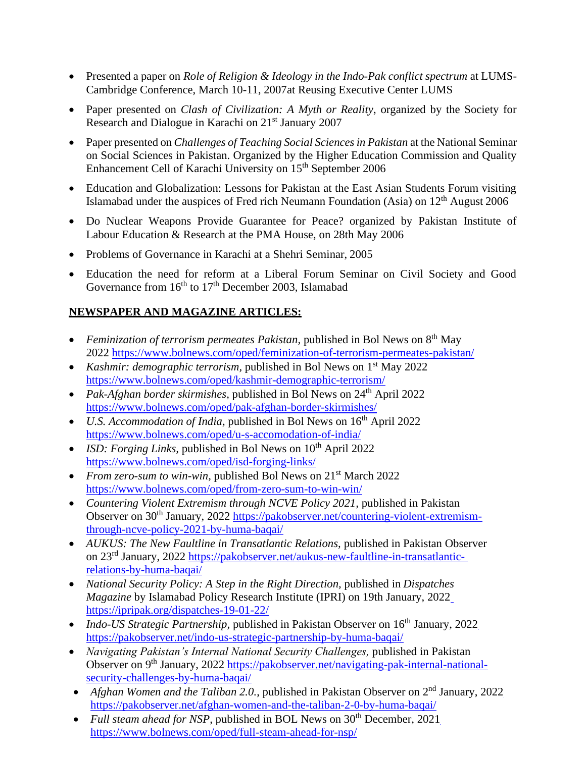- Presented a paper on *Role of Religion & Ideology in the Indo-Pak conflict spectrum* at LUMS-Cambridge Conference, March 10-11, 2007at Reusing Executive Center LUMS
- Paper presented on *Clash of Civilization: A Myth or Reality*, organized by the Society for Research and Dialogue in Karachi on 21<sup>st</sup> January 2007
- Paper presented on *Challenges of Teaching Social Sciencesin Pakistan* at the National Seminar on Social Sciences in Pakistan. Organized by the Higher Education Commission and Quality Enhancement Cell of Karachi University on 15<sup>th</sup> September 2006
- Education and Globalization: Lessons for Pakistan at the East Asian Students Forum visiting Islamabad under the auspices of Fred rich Neumann Foundation (Asia) on 12<sup>th</sup> August 2006
- Do Nuclear Weapons Provide Guarantee for Peace? organized by Pakistan Institute of Labour Education & Research at the PMA House, on 28th May 2006
- Problems of Governance in Karachi at a Shehri Seminar, 2005
- Education the need for reform at a Liberal Forum Seminar on Civil Society and Good Governance from  $16<sup>th</sup>$  to  $17<sup>th</sup>$  December 2003, Islamabad

# **NEWSPAPER AND MAGAZINE ARTICLES:**

- Feminization of terrorism permeates Pakistan, published in Bol News on 8<sup>th</sup> May 2022 <https://www.bolnews.com/oped/feminization-of-terrorism-permeates-pakistan/>
- *Kashmir: demographic terrorism*, published in Bol News on 1<sup>st</sup> May 2022 <https://www.bolnews.com/oped/kashmir-demographic-terrorism/>
- *Pak-Afghan border skirmishes, published in Bol News on 24<sup>th</sup> April 2022* <https://www.bolnews.com/oped/pak-afghan-border-skirmishes/>
- *U.S. Accommodation of India*, published in Bol News on 16<sup>th</sup> April 2022 <https://www.bolnews.com/oped/u-s-accomodation-of-india/>
- *ISD: Forging Links, published in Bol News on 10<sup>th</sup> April 2022* <https://www.bolnews.com/oped/isd-forging-links/>
- *From zero-sum to win-win, published Bol News on*  $21<sup>st</sup> March 2022$ <https://www.bolnews.com/oped/from-zero-sum-to-win-win/>
- *Countering Violent Extremism through NCVE Policy 2021*, published in Pakistan Observer on 30<sup>th</sup> January, 2022 [https://pakobserver.net/countering-violent-extremism](https://pakobserver.net/countering-violent-extremism-through-ncve-policy-2021-by-huma-baqai/)[through-ncve-policy-2021-by-huma-baqai/](https://pakobserver.net/countering-violent-extremism-through-ncve-policy-2021-by-huma-baqai/)
- *AUKUS: The New Faultline in Transatlantic Relations, published in Pakistan Observer* on 23rd January, 2022 [https://pakobserver.net/aukus-new-faultline-in-transatlantic](https://pakobserver.net/aukus-new-faultline-in-transatlantic-relations-by-huma-baqai/)[relations-by-huma-baqai/](https://pakobserver.net/aukus-new-faultline-in-transatlantic-relations-by-huma-baqai/)
- *National Security Policy: A Step in the Right Direction, published in Dispatches Magazine* by Islamabad Policy Research Institute (IPRI) on 19th January, 2022 <https://ipripak.org/dispatches-19-01-22/>
- *Indo-US Strategic Partnership*, published in Pakistan Observer on 16<sup>th</sup> January, 2022 <https://pakobserver.net/indo-us-strategic-partnership-by-huma-baqai/>
- *Navigating Pakistan's Internal National Security Challenges, published in Pakistan* Observer on 9<sup>th</sup> January, 2022 [https://pakobserver.net/navigating-pak-internal-national](https://pakobserver.net/navigating-pak-internal-national-security-challenges-by-huma-baqai/)[security-challenges-by-huma-baqai/](https://pakobserver.net/navigating-pak-internal-national-security-challenges-by-huma-baqai/)
- *Afghan Women and the Taliban 2.0.*, published in Pakistan Observer on 2<sup>nd</sup> January, 2022 <https://pakobserver.net/afghan-women-and-the-taliban-2-0-by-huma-baqai/>
- *Full steam ahead for NSP*, published in BOL News on 30<sup>th</sup> December, 2021 <https://www.bolnews.com/oped/full-steam-ahead-for-nsp/>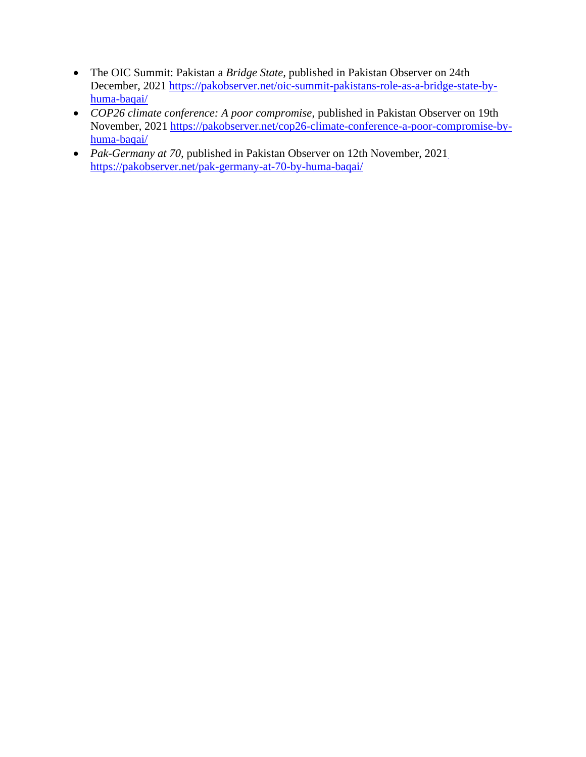- The OIC Summit: Pakistan a *Bridge State,* published in Pakistan Observer on 24th December, 2021 [https://pakobserver.net/oic-summit-pakistans-role-as-a-bridge-state-by](https://pakobserver.net/oic-summit-pakistans-role-as-a-bridge-state-by-huma-baqai/)[huma-baqai/](https://pakobserver.net/oic-summit-pakistans-role-as-a-bridge-state-by-huma-baqai/)
- *COP26 climate conference: A poor compromise*, published in Pakistan Observer on 19th November, 2021 [https://pakobserver.net/cop26-climate-conference-a-poor-compromise-by](https://pakobserver.net/cop26-climate-conference-a-poor-compromise-by-huma-baqai/)[huma-baqai/](https://pakobserver.net/cop26-climate-conference-a-poor-compromise-by-huma-baqai/)
- *Pak-Germany at 70,* published in Pakistan Observer on 12th November, 2021 <https://pakobserver.net/pak-germany-at-70-by-huma-baqai/>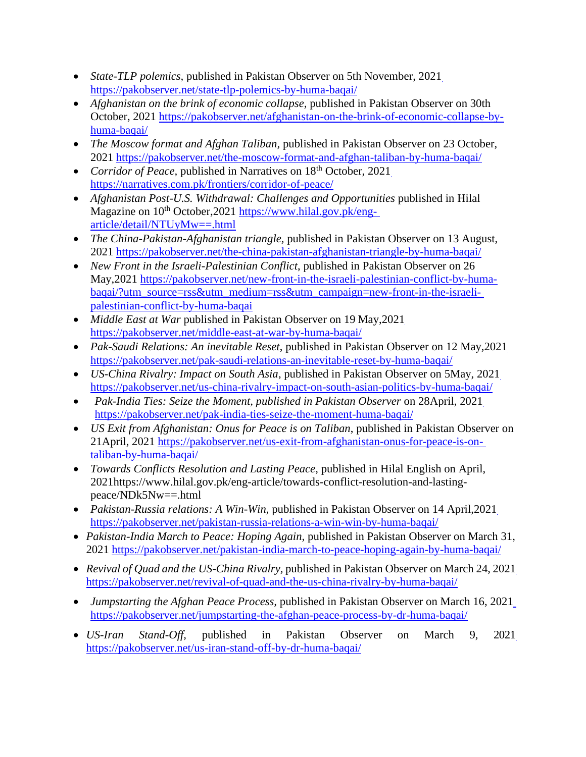- *State-TLP polemics,* published in Pakistan Observer on 5th November, 2021 <https://pakobserver.net/state-tlp-polemics-by-huma-baqai/>
- *Afghanistan on the brink of economic collapse*, published in Pakistan Observer on 30th October, 2021 [https://pakobserver.net/afghanistan-on-the-brink-of-economic-collapse-by](https://pakobserver.net/afghanistan-on-the-brink-of-economic-collapse-by-huma-baqai/)[huma-baqai/](https://pakobserver.net/afghanistan-on-the-brink-of-economic-collapse-by-huma-baqai/)
- *The Moscow format and Afghan Taliban, published in Pakistan Observer on 23 October,* 2021 <https://pakobserver.net/the-moscow-format-and-afghan-taliban-by-huma-baqai/>
- *Corridor of Peace, published in Narratives on 18<sup>th</sup> October, 2021* <https://narratives.com.pk/frontiers/corridor-of-peace/>
- *Afghanistan Post-U.S. Withdrawal: Challenges and Opportunities published in Hilal* Magazine on  $10^{th}$  October, 2021 [https://www.hilal.gov.pk/eng](https://www.hilal.gov.pk/eng-article/detail/NTUyMw%3D%3D.html)[article/detail/NTUyMw==.html](https://www.hilal.gov.pk/eng-article/detail/NTUyMw%3D%3D.html)
- *The China-Pakistan-Afghanistan triangle,* published in Pakistan Observer on 13 August, 2021 <https://pakobserver.net/the-china-pakistan-afghanistan-triangle-by-huma-baqai/>
- *New Front in the Israeli-Palestinian Conflict*, published in Pakistan Observer on 26 May,2021 [https://pakobserver.net/new-front-in-the-israeli-palestinian-conflict-by-huma](https://pakobserver.net/new-front-in-the-israeli-palestinian-conflict-by-huma-baqai/?utm_source=rss&utm_medium=rss&utm_campaign=new-front-in-the-israeli-palestinian-conflict-by-huma-baqai)[baqai/?utm\\_source=rss&utm\\_medium=rss&utm\\_campaign=new-front-in-the-israeli](https://pakobserver.net/new-front-in-the-israeli-palestinian-conflict-by-huma-baqai/?utm_source=rss&utm_medium=rss&utm_campaign=new-front-in-the-israeli-palestinian-conflict-by-huma-baqai)[palestinian-conflict-by-huma-baqai](https://pakobserver.net/new-front-in-the-israeli-palestinian-conflict-by-huma-baqai/?utm_source=rss&utm_medium=rss&utm_campaign=new-front-in-the-israeli-palestinian-conflict-by-huma-baqai)
- *Middle East at War published in Pakistan Observer on 19 May, 2021* <https://pakobserver.net/middle-east-at-war-by-huma-baqai/>
- *Pak-Saudi Relations: An inevitable Reset*, published in Pakistan Observer on 12 May,2021 <https://pakobserver.net/pak-saudi-relations-an-inevitable-reset-by-huma-baqai/>
- *US-China Rivalry: Impact on South Asia*, published in Pakistan Observer on 5May, 2021 <https://pakobserver.net/us-china-rivalry-impact-on-south-asian-politics-by-huma-baqai/>
- *Pak-India Ties: Seize the Moment, published in Pakistan Observer* on 28April, 2021 <https://pakobserver.net/pak-india-ties-seize-the-moment-huma-baqai/>
- *US Exit from Afghanistan: Onus for Peace is on Taliban*, published in Pakistan Observer on 21April, 2021 [https://pakobserver.net/us-exit-from-afghanistan-onus-for-peace-is-on](https://pakobserver.net/us-exit-from-afghanistan-onus-for-peace-is-on-taliban-by-huma-baqai/)[taliban-by-huma-baqai/](https://pakobserver.net/us-exit-from-afghanistan-onus-for-peace-is-on-taliban-by-huma-baqai/)
- *Towards Conflicts Resolution and Lasting Peace*, published in Hilal English on April, 2021ht[tps://www.hilal.gov.pk/eng-article/towards-conflict-resolution-and-lasting](http://www.hilal.gov.pk/eng-article/towards-conflict-resolution-and-lasting-)peace/NDk5Nw==.html
- *Pakistan-Russia relations: A Win-Win*, published in Pakistan Observer on 14 April,2021 <https://pakobserver.net/pakistan-russia-relations-a-win-win-by-huma-baqai/>
- *Pakistan-India March to Peace: Hoping Again, published in Pakistan Observer on March 31,* 2021 <https://pakobserver.net/pakistan-india-march-to-peace-hoping-again-by-huma-baqai/>
- *Revival of Quad and the US-China Rivalry,* published in Pakistan Observer on March 24, 2021 <https://pakobserver.net/revival-of-quad-and-the-us-china-rivalry-by-huma-baqai/>
- *Jumpstarting the Afghan Peace Process,* published in Pakistan Observer on March 16, 2021 <https://pakobserver.net/jumpstarting-the-afghan-peace-process-by-dr-huma-baqai/>
- *US-Iran Stand-Off,* published in Pakistan Observer on March 9, 2021 <https://pakobserver.net/us-iran-stand-off-by-dr-huma-baqai/>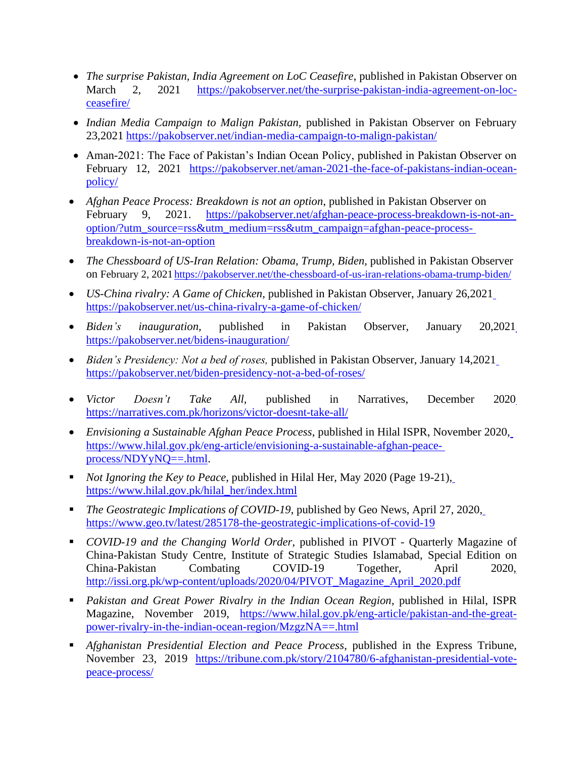- *The surprise Pakistan, India Agreement on LoC Ceasefire*, published in Pakistan Observer on March 2, 2021 [https://pakobserver.net/the-surprise-pakistan-india-agreement-on-loc](https://pakobserver.net/the-surprise-pakistan-india-agreement-on-loc-ceasefire/)[ceasefire/](https://pakobserver.net/the-surprise-pakistan-india-agreement-on-loc-ceasefire/)
- *Indian Media Campaign to Malign Pakistan,* published in Pakistan Observer on February 23,2021 <https://pakobserver.net/indian-media-campaign-to-malign-pakistan/>
- Aman-2021: The Face of Pakistan's Indian Ocean Policy, published in Pakistan Observer on February 12, 2021 [https://pakobserver.net/aman-2021-the-face-of-pakistans-indian-ocean](https://pakobserver.net/aman-2021-the-face-of-pakistans-indian-ocean-policy/)[policy/](https://pakobserver.net/aman-2021-the-face-of-pakistans-indian-ocean-policy/)
- *Afghan Peace Process: Breakdown is not an option*, published in Pakistan Observer on February 9, 2021. [https://pakobserver.net/afghan-peace-process-breakdown-is-not-an](https://pakobserver.net/afghan-peace-process-breakdown-is-not-an-option/?utm_source=rss&utm_medium=rss&utm_campaign=afghan-peace-process-breakdown-is-not-an-option)[option/?utm\\_source=rss&utm\\_medium=rss&utm\\_campaign=afghan-peace-process](https://pakobserver.net/afghan-peace-process-breakdown-is-not-an-option/?utm_source=rss&utm_medium=rss&utm_campaign=afghan-peace-process-breakdown-is-not-an-option)[breakdown-is-not-an-option](https://pakobserver.net/afghan-peace-process-breakdown-is-not-an-option/?utm_source=rss&utm_medium=rss&utm_campaign=afghan-peace-process-breakdown-is-not-an-option)
- *The Chessboard of US-Iran Relation: Obama, Trump, Biden, published in Pakistan Observer* on February 2, 2021 <https://pakobserver.net/the-chessboard-of-us-iran-relations-obama-trump-biden/>
- *US-China rivalry: A Game of Chicken,* published in Pakistan Observer, January 26,2021 <https://pakobserver.net/us-china-rivalry-a-game-of-chicken/>
- *Biden's inauguration,* published in Pakistan Observer, January 20,2021 <https://pakobserver.net/bidens-inauguration/>
- *Biden's Presidency: Not a bed of roses,* published in Pakistan Observer, January 14,2021 <https://pakobserver.net/biden-presidency-not-a-bed-of-roses/>
- *Victor Doesn't Take All,* published in Narratives, December 2020 <https://narratives.com.pk/horizons/victor-doesnt-take-all/>
- *Envisioning a Sustainable Afghan Peace Process*, published in Hilal ISPR, November 2020, [https://www.hilal.gov.pk/eng-article/envisioning-a-sustainable-afghan-peace](https://www.hilal.gov.pk/eng-article/envisioning-a-sustainable-afghan-peace-process/NDYyNQ%3D%3D.html)[process/NDYyNQ==.html.](https://www.hilal.gov.pk/eng-article/envisioning-a-sustainable-afghan-peace-process/NDYyNQ%3D%3D.html)
- *Not Ignoring the Key to Peace*, published in Hilal Her, May 2020 (Page 19-21), [https://www.hilal.gov.pk/hilal\\_her/index.html](https://www.hilal.gov.pk/hilal_her/index.html)
- The Geostrategic Implications of COVID-19, published by Geo News, April 27, 2020, <https://www.geo.tv/latest/285178-the-geostrategic-implications-of-covid-19>
- *COVID-19 and the Changing World Order*, published in PIVOT Quarterly Magazine of China-Pakistan Study Centre, Institute of Strategic Studies Islamabad, Special Edition on China-Pakistan Combating COVID-19 Together, April 2020, [http://issi.org.pk/wp-content/uploads/2020/04/PIVOT\\_Magazine\\_April\\_2020.pdf](http://issi.org.pk/wp-content/uploads/2020/04/PIVOT_Magazine_April_2020.pdf)
- *Pakistan and Great Power Rivalry in the Indian Ocean Region*, published in Hilal, ISPR Magazine, November 2019, [https://www.hilal.gov.pk/eng-article/pakistan-and-the-great](https://www.hilal.gov.pk/eng-article/pakistan-and-the-great-power-rivalry-in-the-indian-ocean-region/MzgzNA%3D%3D.html)[power-rivalry-in-the-indian-ocean-region/MzgzNA==.html](https://www.hilal.gov.pk/eng-article/pakistan-and-the-great-power-rivalry-in-the-indian-ocean-region/MzgzNA%3D%3D.html)
- *Afghanistan Presidential Election and Peace Process*, published in the Express Tribune, November 23, 2019 [https://tribune.com.pk/story/2104780/6-afghanistan-presidential-vote](https://tribune.com.pk/story/2104780/6-afghanistan-presidential-vote-peace-process/)[peace-process/](https://tribune.com.pk/story/2104780/6-afghanistan-presidential-vote-peace-process/)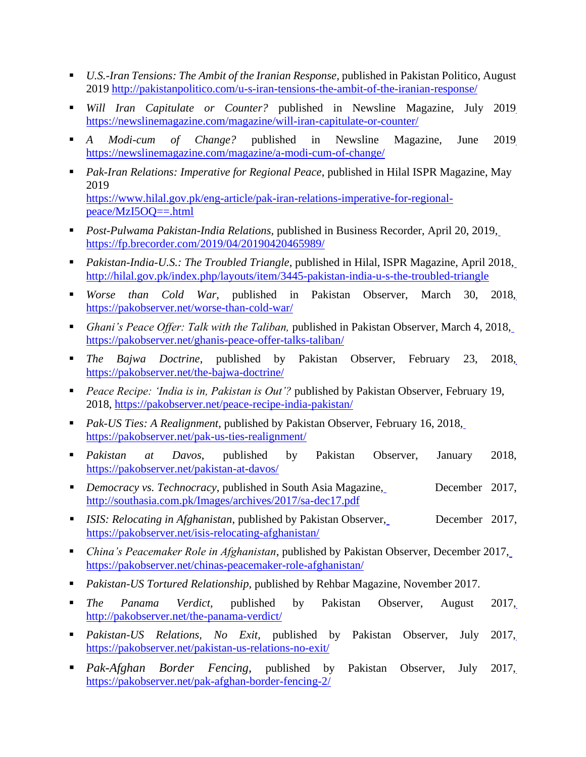- *U.S.-Iran Tensions: The Ambit of the Iranian Response,* published in Pakistan Politico, August 2019 <http://pakistanpolitico.com/u-s-iran-tensions-the-ambit-of-the-iranian-response/>
- *Will Iran Capitulate or Counter?* published in Newsline Magazine, July 2019 <https://newslinemagazine.com/magazine/will-iran-capitulate-or-counter/>
- *A Modi-cum of Change?* published in Newsline Magazine, June 2019 <https://newslinemagazine.com/magazine/a-modi-cum-of-change/>
- *Pak-Iran Relations: Imperative for Regional Peace*, published in Hilal ISPR Magazine, May 2019 [https://www.hilal.gov.pk/eng-article/pak-iran-relations-imperative-for-regional](https://www.hilal.gov.pk/eng-article/pak-iran-relations-imperative-for-regional-peace/MzI5OQ%3D%3D.html)[peace/MzI5OQ==.html](https://www.hilal.gov.pk/eng-article/pak-iran-relations-imperative-for-regional-peace/MzI5OQ%3D%3D.html)
- *Post-Pulwama Pakistan-India Relations, published in Business Recorder, April 20, 2019*, <https://fp.brecorder.com/2019/04/20190420465989/>
- *Pakistan-India-U.S.: The Troubled Triangle*, published in Hilal, ISPR Magazine, April 2018, <http://hilal.gov.pk/index.php/layouts/item/3445-pakistan-india-u-s-the-troubled-triangle>
- *Worse than Cold War,* published in Pakistan Observer, March 30, 2018, <https://pakobserver.net/worse-than-cold-war/>
- *Ghani's Peace Offer: Talk with the Taliban, published in Pakistan Observer, March 4, 2018,* <https://pakobserver.net/ghanis-peace-offer-talks-taliban/>
- *The Bajwa Doctrine*, published by Pakistan Observer, February 23, 2018, <https://pakobserver.net/the-bajwa-doctrine/>
- *Peace Recipe: 'India is in, Pakistan is Out'?* published by Pakistan Observer, February 19, 2018, <https://pakobserver.net/peace-recipe-india-pakistan/>
- *Pak-US Ties: A Realignment*, published by Pakistan Observer, February 16, 2018, <https://pakobserver.net/pak-us-ties-realignment/>
- *Pakistan at Davos*, published by Pakistan Observer, January 2018, <https://pakobserver.net/pakistan-at-davos/>
- *Democracy vs. Technocracy*, published in South Asia Magazine, <http://southasia.com.pk/Images/archives/2017/sa-dec17.pdf> December 2017,
- *ISIS: Relocating in Afghanistan*, published by Pakistan Observer, <https://pakobserver.net/isis-relocating-afghanistan/> December 2017,
- *China's Peacemaker Role in Afghanistan*, published by Pakistan Observer, December 2017, <https://pakobserver.net/chinas-peacemaker-role-afghanistan/>
- *Pakistan-US Tortured Relationship*, published by Rehbar Magazine, November 2017.
- *The Panama Verdict,* published by Pakistan Observer, August 2017, <http://pakobserver.net/the-panama-verdict/>
- *Pakistan-US Relations, No Exit,* published by Pakistan Observer, July 2017, <https://pakobserver.net/pakistan-us-relations-no-exit/>
- *Pak-Afghan Border Fencing,* published by Pakistan Observer, July 2017, <https://pakobserver.net/pak-afghan-border-fencing-2/>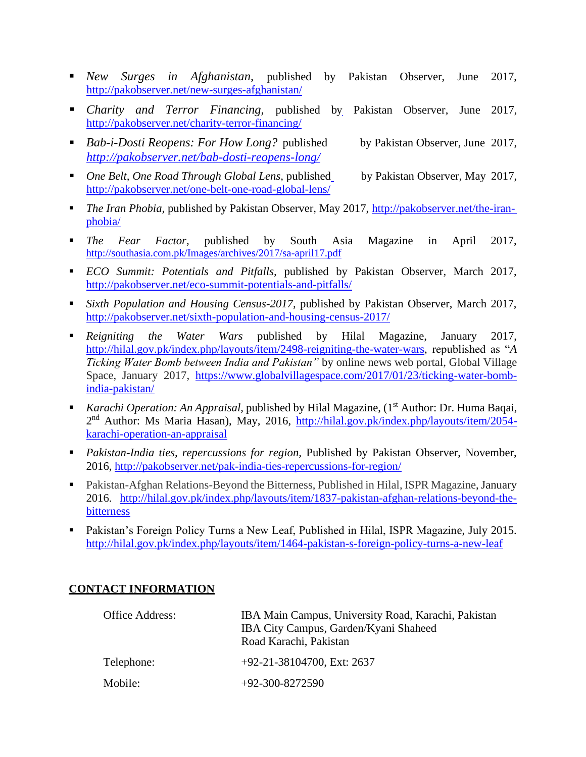- *New Surges in Afghanistan,* published by Pakistan Observer, June 2017, <http://pakobserver.net/new-surges-afghanistan/>
- *Charity and Terror Financing,* published by Pakistan Observer, June 2017, <http://pakobserver.net/charity-terror-financing/>
- *Bab-i-Dosti Reopens: For How Long?* published *<http://pakobserver.net/bab-dosti-reopens-long/>* by Pakistan Observer, June 2017,
- *One Belt, One Road Through Global Lens, published* <http://pakobserver.net/one-belt-one-road-global-lens/> by Pakistan Observer, May 2017,
- *The Iran Phobia,* published by Pakistan Observer, May 2017, [http://pakobserver.net/the-iran](http://pakobserver.net/the-iran-phobia/)[phobia/](http://pakobserver.net/the-iran-phobia/)
- *The Fear Factor,* published by South Asia Magazine in April 2017, <http://southasia.com.pk/Images/archives/2017/sa-april17.pdf>
- *ECO Summit: Potentials and Pitfalls,* published by Pakistan Observer, March 2017, <http://pakobserver.net/eco-summit-potentials-and-pitfalls/>
- Sixth Population and Housing Census-2017, published by Pakistan Observer, March 2017, <http://pakobserver.net/sixth-population-and-housing-census-2017/>
- *Reigniting the Water Wars* published by Hilal Magazine, January 2017, [http://hilal.gov.pk/index.php/layouts/item/2498-reigniting-the-water-wars,](http://hilal.gov.pk/index.php/layouts/item/2498-reigniting-the-water-wars) republished as "*A Ticking Water Bomb between India and Pakistan"* by online news web portal, Global Village Space, January 2017, [https://www.globalvillagespace.com/2017/01/23/ticking-water-bomb](https://www.globalvillagespace.com/2017/01/23/ticking-water-bomb-india-pakistan/)[india-pakistan/](https://www.globalvillagespace.com/2017/01/23/ticking-water-bomb-india-pakistan/)
- *Karachi Operation: An Appraisal, published by Hilal Magazine, (1<sup>st</sup> Author: Dr. Huma Baqai,* 2<sup>nd</sup> Author: Ms Maria Hasan), May, 2016, [http://hilal.gov.pk/index.php/layouts/item/2054](http://hilal.gov.pk/index.php/layouts/item/2054-karachi-operation-an-appraisal) [karachi-operation-an-appraisal](http://hilal.gov.pk/index.php/layouts/item/2054-karachi-operation-an-appraisal)
- *Pakistan-India ties, repercussions for region*, Published by Pakistan Observer, November, 2016, <http://pakobserver.net/pak-india-ties-repercussions-for-region/>
- Pakistan-Afghan [Relations-Beyond](http://hilal.gov.pk/index.php/layouts/item/1837-pakistan-afghan-relations-beyond-the-bitterness) the Bitterness, Published in Hilal, ISPR Magazine, January 2016. [http://hilal.gov.pk/index.php/layouts/item/1837-pakistan-afghan-relations-beyond-the](http://hilal.gov.pk/index.php/layouts/item/1837-pakistan-afghan-relations-beyond-the-bitterness)[bitterness](http://hilal.gov.pk/index.php/layouts/item/1837-pakistan-afghan-relations-beyond-the-bitterness)
- [Pakistan's Foreign Policy Turns a New Leaf, Published in Hilal, ISPR Magazine, J](http://hilal.gov.pk/index.php/layouts/item/1464-pakistan-s-foreign-policy-turns-a-new-leaf)uly 2015[.](http://hilal.gov.pk/index.php/layouts/item/1464-pakistan-s-foreign-policy-turns-a-new-leaf) <http://hilal.gov.pk/index.php/layouts/item/1464-pakistan-s-foreign-policy-turns-a-new-leaf>

### **CONTACT INFORMATION**

| Office Address: | IBA Main Campus, University Road, Karachi, Pakistan<br>IBA City Campus, Garden/Kyani Shaheed<br>Road Karachi, Pakistan |
|-----------------|------------------------------------------------------------------------------------------------------------------------|
| Telephone:      | $+92-21-38104700$ , Ext: 2637                                                                                          |
| Mobile:         | $+92-300-8272590$                                                                                                      |